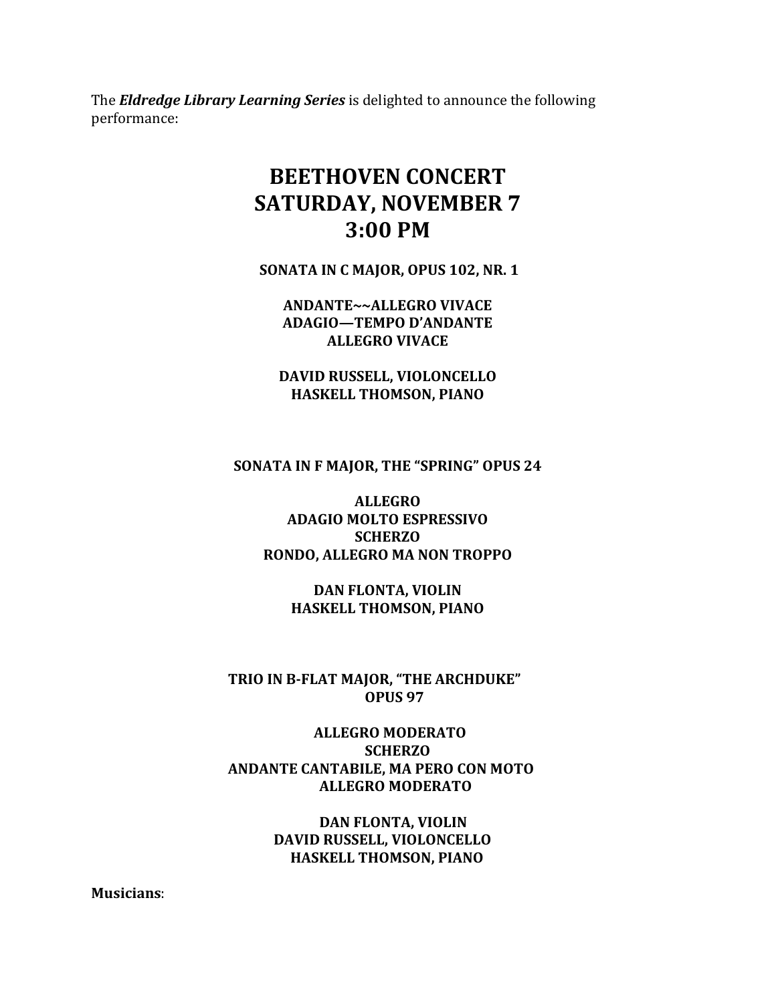The *Eldredge Library Learning Series* is delighted to announce the following performance:

## **BEETHOVEN CONCERT SATURDAY, NOVEMBER 7 3:00 PM**

**SONATA IN C MAJOR, OPUS 102, NR. 1**

**ANDANTE~~ALLEGRO VIVACE ADAGIO—TEMPO D'ANDANTE ALLEGRO VIVACE**

**DAVID RUSSELL, VIOLONCELLO HASKELL THOMSON, PIANO**

**SONATA IN F MAJOR, THE "SPRING" OPUS 24**

## **ALLEGRO ADAGIO MOLTO ESPRESSIVO SCHERZO RONDO, ALLEGRO MA NON TROPPO**

**DAN FLONTA, VIOLIN HASKELL THOMSON, PIANO**

**TRIO IN B-FLAT MAJOR, "THE ARCHDUKE" OPUS 97**

 **ALLEGRO MODERATO SCHERZO ANDANTE CANTABILE, MA PERO CON MOTO ALLEGRO MODERATO**

> **DAN FLONTA, VIOLIN DAVID RUSSELL, VIOLONCELLO HASKELL THOMSON, PIANO**

**Musicians**: